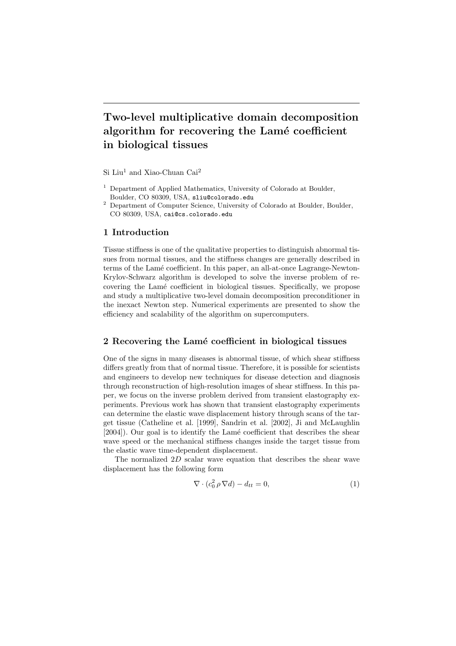# Two-level multiplicative domain decomposition algorithm for recovering the Lamé coefficient in biological tissues

 $Si$  Liu<sup>1</sup> and Xiao-Chuan Cai<sup>2</sup>

- <sup>1</sup> Department of Applied Mathematics, University of Colorado at Boulder, Boulder, CO 80309, USA, sliu@colorado.edu
- <sup>2</sup> Department of Computer Science, University of Colorado at Boulder, Boulder, CO 80309, USA, cai@cs.colorado.edu

#### 1 Introduction

Tissue stiffness is one of the qualitative properties to distinguish abnormal tissues from normal tissues, and the stiffness changes are generally described in terms of the Lamé coefficient. In this paper, an all-at-once Lagrange-Newton-Krylov-Schwarz algorithm is developed to solve the inverse problem of recovering the Lamé coefficient in biological tissues. Specifically, we propose and study a multiplicative two-level domain decomposition preconditioner in the inexact Newton step. Numerical experiments are presented to show the efficiency and scalability of the algorithm on supercomputers.

# 2 Recovering the Lamé coefficient in biological tissues

One of the signs in many diseases is abnormal tissue, of which shear stiffness differs greatly from that of normal tissue. Therefore, it is possible for scientists and engineers to develop new techniques for disease detection and diagnosis through reconstruction of high-resolution images of shear stiffness. In this paper, we focus on the inverse problem derived from transient elastography experiments. Previous work has shown that transient elastography experiments can determine the elastic wave displacement history through scans of the target tissue (Catheline et al. [1999], Sandrin et al. [2002], Ji and McLaughlin [2004]). Our goal is to identify the Lamé coefficient that describes the shear wave speed or the mechanical stiffness changes inside the target tissue from the elastic wave time-dependent displacement.

The normalized 2D scalar wave equation that describes the shear wave displacement has the following form

$$
\nabla \cdot (c_0^2 \, \rho \, \nabla d) - d_{tt} = 0,\tag{1}
$$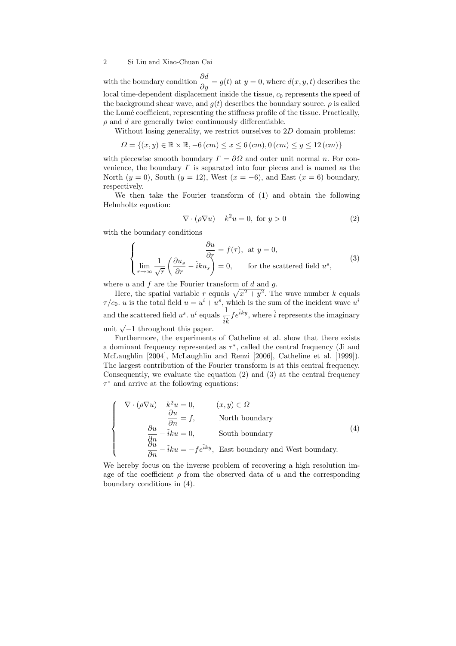#### 2 Si Liu and Xiao-Chuan Cai

with the boundary condition  $\frac{\partial d}{\partial y} = g(t)$  at  $y = 0$ , where  $d(x, y, t)$  describes the local time-dependent displacement inside the tissue,  $c_0$  represents the speed of the background shear wave, and  $q(t)$  describes the boundary source.  $\rho$  is called the Lamé coefficient, representing the stiffness profile of the tissue. Practically,  $\rho$  and  $d$  are generally twice continuously differentiable.

Without losing generality, we restrict ourselves to 2D domain problems:

$$
\Omega = \{(x, y) \in \mathbb{R} \times \mathbb{R}, -6 (cm) \le x \le 6 (cm), 0 (cm) \le y \le 12 (cm)\}\
$$

with piecewise smooth boundary  $\Gamma = \partial\Omega$  and outer unit normal n. For convenience, the boundary  $\Gamma$  is separated into four pieces and is named as the North  $(y = 0)$ , South  $(y = 12)$ , West  $(x = -6)$ , and East  $(x = 6)$  boundary, respectively.

We then take the Fourier transform of (1) and obtain the following Helmholtz equation:

$$
-\nabla \cdot (\rho \nabla u) - k^2 u = 0, \text{ for } y > 0 \tag{2}
$$

with the boundary conditions

$$
\begin{cases}\n\frac{\partial u}{\partial r} = f(\tau), \text{ at } y = 0, \\
\lim_{r \to \infty} \frac{1}{\sqrt{r}} \left( \frac{\partial u_s}{\partial r} - \tilde{i}k u_s \right) = 0, \text{ for the scattered field } u^s,\n\end{cases}
$$
\n(3)

where  $u$  and  $f$  are the Fourier transform of  $d$  and  $q$ .

Here, the spatial variable r equals  $\sqrt{x^2 + y^2}$ . The wave number k equals  $\tau/c_0$ . *u* is the total field  $u = u^i + u^s$ , which is the sum of the incident wave  $u^i$ and the scattered field  $u^s$ .  $u^i$  equals  $\frac{1}{ik} f e^{\tilde{i}ky}$ , where  $\tilde{i}$  represents the imaginary unit  $\sqrt{-1}$  throughout this paper.

Furthermore, the experiments of Catheline et al. show that there exists a dominant frequency represented as  $\tau^*$ , called the central frequency (Ji and McLaughlin [2004], McLaughlin and Renzi [2006], Catheline et al. [1999]). The largest contribution of the Fourier transform is at this central frequency. Consequently, we evaluate the equation  $(2)$  and  $(3)$  at the central frequency  $\tau^*$  and arrive at the following equations:

$$
\begin{cases}\n-\nabla \cdot (\rho \nabla u) - k^2 u = 0, & (x, y) \in \Omega \\
\frac{\partial u}{\partial n} = f, & \text{North boundary} \\
\frac{\partial u}{\partial n} - \tilde{i}ku = 0, & \text{South boundary} \\
\frac{\partial u}{\partial n} - \tilde{i}ku = -fe^{\tilde{i}ky}, & \text{East boundary and West boundary.} \n\end{cases}
$$
\n(4)

We hereby focus on the inverse problem of recovering a high resolution image of the coefficient  $\rho$  from the observed data of u and the corresponding boundary conditions in (4).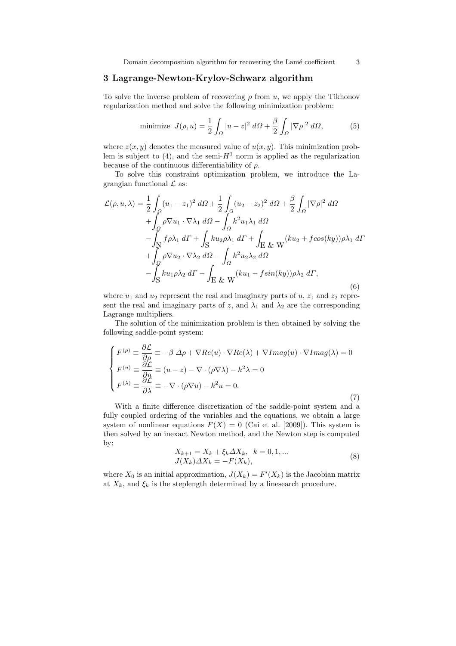# 3 Lagrange-Newton-Krylov-Schwarz algorithm

To solve the inverse problem of recovering  $\rho$  from u, we apply the Tikhonov regularization method and solve the following minimization problem:

minimize 
$$
J(\rho, u) = \frac{1}{2} \int_{\Omega} |u - z|^2 d\Omega + \frac{\beta}{2} \int_{\Omega} |\nabla \rho|^2 d\Omega,
$$
 (5)

where  $z(x, y)$  denotes the measured value of  $u(x, y)$ . This minimization problem is subject to  $(4)$ , and the semi- $H<sup>1</sup>$  norm is applied as the regularization because of the continuous differentiability of  $\rho$ .

To solve this constraint optimization problem, we introduce the Lagrangian functional  $\mathcal L$  as:

$$
\mathcal{L}(\rho, u, \lambda) = \frac{1}{2} \int_{\Omega} (u_1 - z_1)^2 \, d\Omega + \frac{1}{2} \int_{\Omega} (u_2 - z_2)^2 \, d\Omega + \frac{\beta}{2} \int_{\Omega} |\nabla \rho|^2 \, d\Omega \n+ \int_{\Omega} \rho \nabla u_1 \cdot \nabla \lambda_1 \, d\Omega - \int_{\Omega} k^2 u_1 \lambda_1 \, d\Omega \n- \int_{\mathcal{N}} f \rho \lambda_1 \, d\Gamma + \int_{\mathcal{S}} k u_2 \rho \lambda_1 \, d\Gamma + \int_{\mathcal{E}} \& \mathcal{W} \left( k u_2 + f \cos(ky) \right) \rho \lambda_1 \, d\Gamma \n+ \int_{\Omega} \rho \nabla u_2 \cdot \nabla \lambda_2 \, d\Omega - \int_{\Omega} k^2 u_2 \lambda_2 \, d\Omega \n- \int_{\mathcal{S}} k u_1 \rho \lambda_2 \, d\Gamma - \int_{\mathcal{E}} \& \mathcal{W} \left( k u_1 - f \sin(ky) \right) \rho \lambda_2 \, d\Gamma,
$$
\n(6)

where  $u_1$  and  $u_2$  represent the real and imaginary parts of  $u$ ,  $z_1$  and  $z_2$  represent the real and imaginary parts of z, and  $\lambda_1$  and  $\lambda_2$  are the corresponding Lagrange multipliers.

The solution of the minimization problem is then obtained by solving the following saddle-point system:

$$
\begin{cases}\nF^{(\rho)} \equiv \frac{\partial \mathcal{L}}{\partial \rho} \equiv -\beta \Delta \rho + \nabla Re(u) \cdot \nabla Re(\lambda) + \nabla Imag(u) \cdot \nabla Imag(\lambda) = 0 \\
F^{(u)} \equiv \frac{\partial \mathcal{L}}{\partial u} \equiv (u - z) - \nabla \cdot (\rho \nabla \lambda) - k^2 \lambda = 0 \\
F^{(\lambda)} \equiv \frac{\partial \mathcal{L}}{\partial \lambda} \equiv -\nabla \cdot (\rho \nabla u) - k^2 u = 0.\n\end{cases}
$$
\n(7)

With a finite difference discretization of the saddle-point system and a fully coupled ordering of the variables and the equations, we obtain a large system of nonlinear equations  $F(X) = 0$  (Cai et al. [2009]). This system is then solved by an inexact Newton method, and the Newton step is computed by:

$$
X_{k+1} = X_k + \xi_k \Delta X_k, \quad k = 0, 1, ...
$$
  
\n
$$
J(X_k) \Delta X_k = -F(X_k),
$$
\n(8)

where  $X_0$  is an initial approximation,  $J(X_k) = F'(X_k)$  is the Jacobian matrix at  $X_k$ , and  $\xi_k$  is the steplength determined by a linesearch procedure.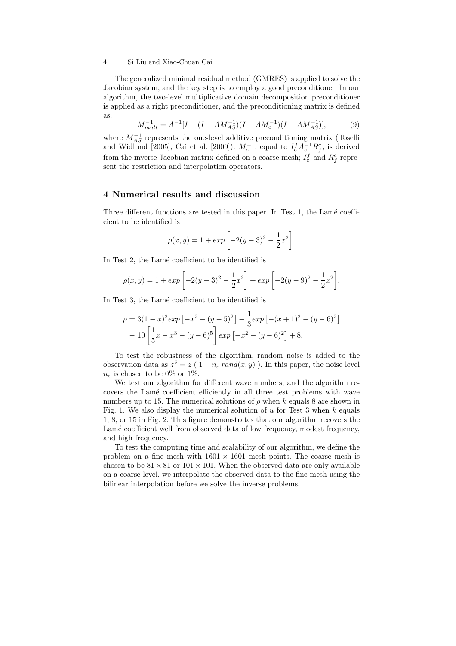#### 4 Si Liu and Xiao-Chuan Cai

The generalized minimal residual method (GMRES) is applied to solve the Jacobian system, and the key step is to employ a good preconditioner. In our algorithm, the two-level multiplicative domain decomposition preconditioner is applied as a right preconditioner, and the preconditioning matrix is defined as:

$$
M_{mult}^{-1} = A^{-1} [I - (I - AM_{AS}^{-1})(I - AM_c^{-1})(I - AM_{AS}^{-1})],
$$
 (9)

where  $M_{AS}^{-1}$  represents the one-level additive preconditioning matrix (Toselli and Widlund [2005], Cai et al. [2009]).  $M_c^{-1}$ , equal to  $I_c^f A_c^{-1} R_f^c$ , is derived from the inverse Jacobian matrix defined on a coarse mesh;  $I_c^f$  and  $R_f^c$  represent the restriction and interpolation operators.

## 4 Numerical results and discussion

Three different functions are tested in this paper. In Test 1, the Lamé coefficient to be identified is

$$
\rho(x,y) = 1 + exp \left[ -2(y-3)^2 - \frac{1}{2}x^2 \right].
$$

In Test 2, the Lamé coefficient to be identified is

$$
\rho(x,y) = 1 + exp\left[-2(y-3)^2 - \frac{1}{2}x^2\right] + exp\left[-2(y-9)^2 - \frac{1}{2}x^2\right].
$$

In Test 3, the Lamé coefficient to be identified is

$$
\rho = 3(1-x)^2 \exp\left[-x^2 - (y-5)^2\right] - \frac{1}{3} \exp\left[-(x+1)^2 - (y-6)^2\right] - 10\left[\frac{1}{5}x - x^3 - (y-6)^5\right] \exp\left[-x^2 - (y-6)^2\right] + 8.
$$

To test the robustness of the algorithm, random noise is added to the observation data as  $z^{\delta} = z (1 + n_{\epsilon} \text{ rand}(x, y))$ . In this paper, the noise level  $n_{\epsilon}$  is chosen to be 0% or 1%.

We test our algorithm for different wave numbers, and the algorithm recovers the Lam´e coefficient efficiently in all three test problems with wave numbers up to 15. The numerical solutions of  $\rho$  when k equals 8 are shown in Fig. 1. We also display the numerical solution of  $u$  for Test 3 when  $k$  equals 1, 8, or 15 in Fig. 2. This figure demonstrates that our algorithm recovers the Lamé coefficient well from observed data of low frequency, modest frequency, and high frequency.

To test the computing time and scalability of our algorithm, we define the problem on a fine mesh with  $1601 \times 1601$  mesh points. The coarse mesh is chosen to be  $81 \times 81$  or  $101 \times 101$ . When the observed data are only available on a coarse level, we interpolate the observed data to the fine mesh using the bilinear interpolation before we solve the inverse problems.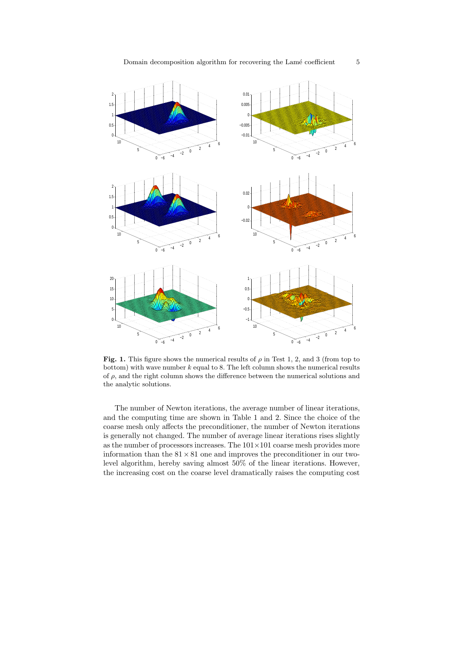

Fig. 1. This figure shows the numerical results of  $\rho$  in Test 1, 2, and 3 (from top to bottom) with wave number  $k$  equal to 8. The left column shows the numerical results of  $\rho$ , and the right column shows the difference between the numerical solutions and the analytic solutions.

The number of Newton iterations, the average number of linear iterations, and the computing time are shown in Table 1 and 2. Since the choice of the coarse mesh only affects the preconditioner, the number of Newton iterations is generally not changed. The number of average linear iterations rises slightly as the number of processors increases. The  $101 \times 101$  coarse mesh provides more information than the  $81 \times 81$  one and improves the preconditioner in our twolevel algorithm, hereby saving almost 50% of the linear iterations. However, the increasing cost on the coarse level dramatically raises the computing cost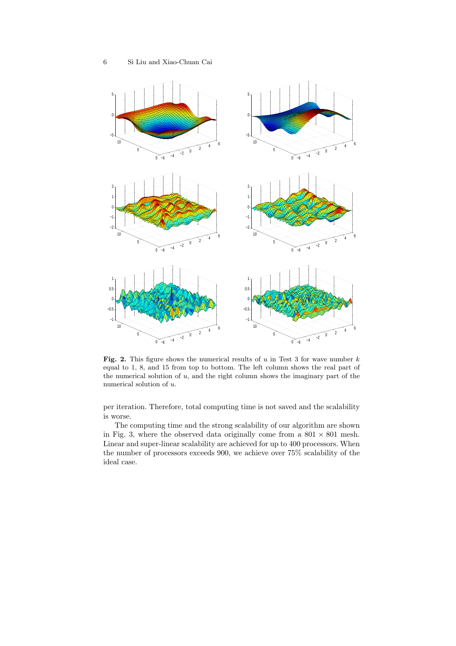

Fig. 2. This figure shows the numerical results of  $u$  in Test 3 for wave number  $k$ equal to 1, 8, and 15 from top to bottom. The left column shows the real part of the numerical solution of  $u$ , and the right column shows the imaginary part of the numerical solution of  $u$ .

per iteration. Therefore, total computing time is not saved and the scalability is worse.

The computing time and the strong scalability of our algorithm are shown in Fig. 3, where the observed data originally come from a  $801 \times 801$  mesh. Linear and super-linear scalability are achieved for up to 400 processors. When the number of processors exceeds 900, we achieve over 75% scalability of the ideal case.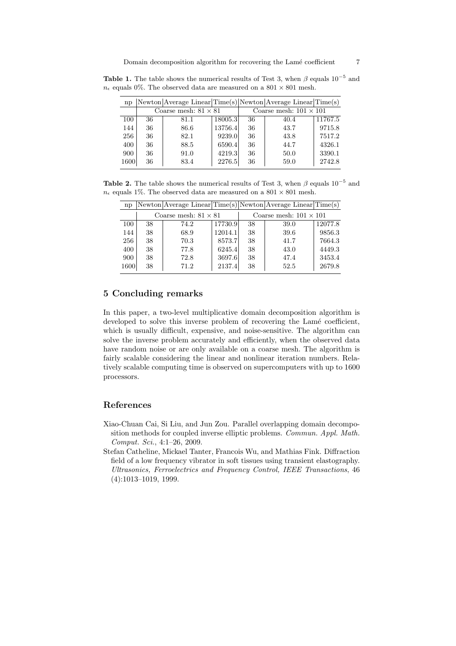| np   |                             | Newton Average Linear Time(s) Newton Average Linear Time(s) |         |                               |      |         |  |
|------|-----------------------------|-------------------------------------------------------------|---------|-------------------------------|------|---------|--|
|      | Coarse mesh: $81 \times 81$ |                                                             |         | Coarse mesh: $101 \times 101$ |      |         |  |
| 100  | 36                          | 81.1                                                        | 18005.3 | 36                            | 40.4 | 11767.5 |  |
| 144  | 36                          | 86.6                                                        | 13756.4 | 36                            | 43.7 | 9715.8  |  |
| 256  | 36                          | 82.1                                                        | 9239.0  | 36                            | 43.8 | 7517.2  |  |
| 400  | 36                          | 88.5                                                        | 6590.4  | 36                            | 44.7 | 4326.1  |  |
| 900  | 36                          | 91.0                                                        | 4219.3  | 36                            | 50.0 | 3390.1  |  |
| 1600 | 36                          | 83.4                                                        | 2276.5  | 36                            | 59.0 | 2742.8  |  |

**Table 1.** The table shows the numerical results of Test 3, when  $\beta$  equals 10<sup>-5</sup> and  $n_{\epsilon}$  equals 0%. The observed data are measured on a 801 × 801 mesh.

**Table 2.** The table shows the numerical results of Test 3, when  $\beta$  equals 10<sup>-5</sup> and  $n_{\epsilon}$  equals 1%. The observed data are measured on a 801  $\times$  801 mesh.

| np   |                             | Newton Average Linear Time(s) Newton Average Linear Time(s) |         |                               |      |         |  |
|------|-----------------------------|-------------------------------------------------------------|---------|-------------------------------|------|---------|--|
|      | Coarse mesh: $81 \times 81$ |                                                             |         | Coarse mesh: $101 \times 101$ |      |         |  |
| 100  | 38                          | 74.2                                                        | 17730.9 | 38                            | 39.0 | 12077.8 |  |
| 144  | 38                          | 68.9                                                        | 12014.1 | 38                            | 39.6 | 9856.3  |  |
| 256  | 38                          | 70.3                                                        | 8573.7  | 38                            | 41.7 | 7664.3  |  |
| 400  | 38                          | 77.8                                                        | 6245.4  | 38                            | 43.0 | 4449.3  |  |
| 900  | 38                          | 72.8                                                        | 3697.6  | 38                            | 47.4 | 3453.4  |  |
| 1600 | 38                          | 71.2                                                        | 2137.4  | 38                            | 52.5 | 2679.8  |  |

# 5 Concluding remarks

In this paper, a two-level multiplicative domain decomposition algorithm is developed to solve this inverse problem of recovering the Lamé coefficient, which is usually difficult, expensive, and noise-sensitive. The algorithm can solve the inverse problem accurately and efficiently, when the observed data have random noise or are only available on a coarse mesh. The algorithm is fairly scalable considering the linear and nonlinear iteration numbers. Relatively scalable computing time is observed on supercomputers with up to 1600 processors.

### References

- Xiao-Chuan Cai, Si Liu, and Jun Zou. Parallel overlapping domain decomposition methods for coupled inverse elliptic problems. Commun. Appl. Math. Comput. Sci., 4:1–26, 2009.
- Stefan Catheline, Mickael Tanter, Francois Wu, and Mathias Fink. Diffraction field of a low frequency vibrator in soft tissues using transient elastography. Ultrasonics, Ferroelectrics and Frequency Control, IEEE Transactions, 46 (4):1013–1019, 1999.